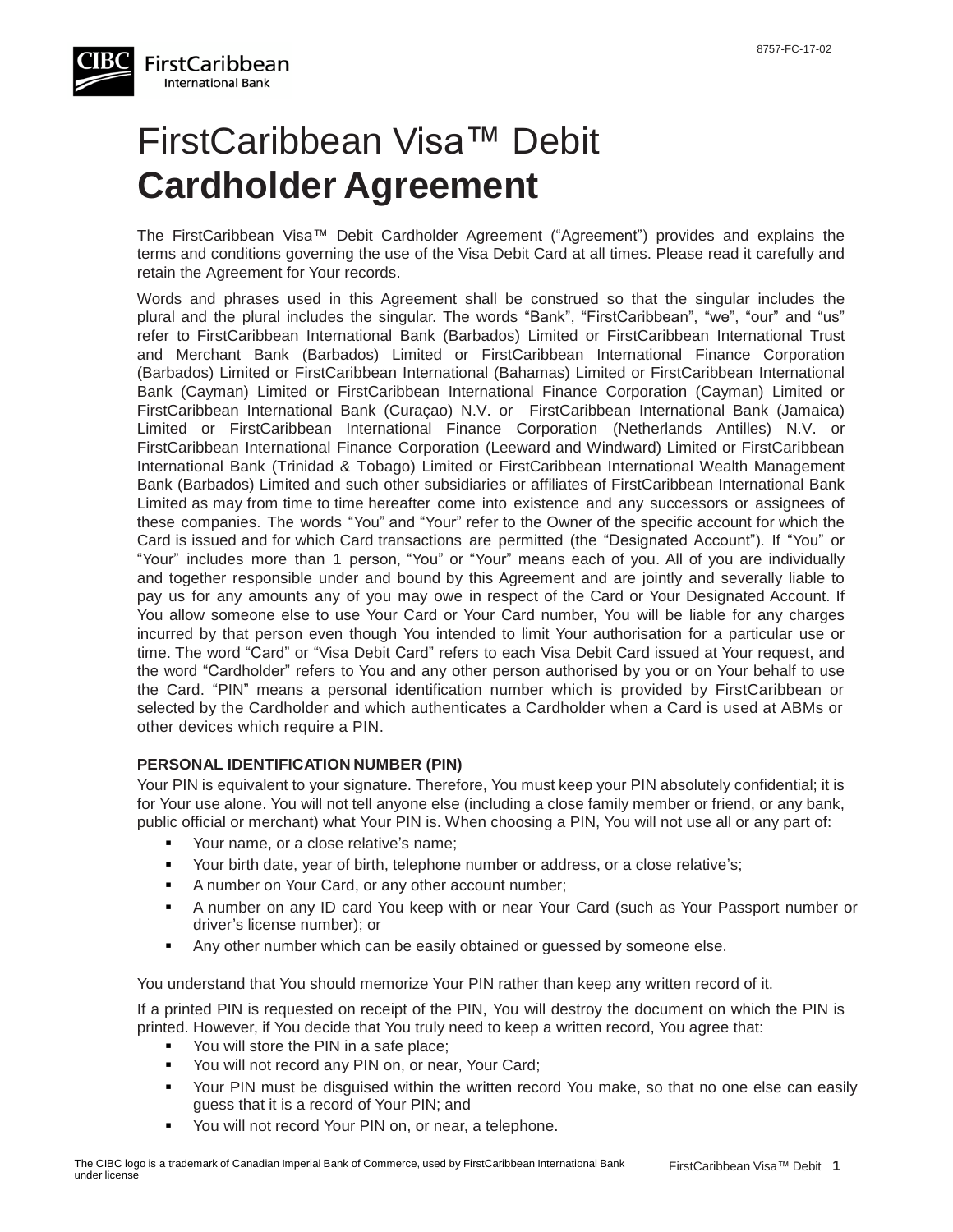

# FirstCaribbean Visa™ Debit **Cardholder Agreement**

The FirstCaribbean Visa™ Debit Cardholder Agreement ("Agreement") provides and explains the terms and conditions governing the use of the Visa Debit Card at all times. Please read it carefully and retain the Agreement for Your records.

Words and phrases used in this Agreement shall be construed so that the singular includes the plural and the plural includes the singular. The words "Bank", "FirstCaribbean", "we", "our" and "us" refer to FirstCaribbean International Bank (Barbados) Limited or FirstCaribbean International Trust and Merchant Bank (Barbados) Limited or FirstCaribbean International Finance Corporation (Barbados) Limited or FirstCaribbean International (Bahamas) Limited or FirstCaribbean International Bank (Cayman) Limited or FirstCaribbean International Finance Corporation (Cayman) Limited or FirstCaribbean International Bank (Curaçao) N.V. or FirstCaribbean International Bank (Jamaica) Limited or FirstCaribbean International Finance Corporation (Netherlands Antilles) N.V. or FirstCaribbean International Finance Corporation (Leeward and Windward) Limited or FirstCaribbean International Bank (Trinidad & Tobago) Limited or FirstCaribbean International Wealth Management Bank (Barbados) Limited and such other subsidiaries or affiliates of FirstCaribbean International Bank Limited as may from time to time hereafter come into existence and any successors or assignees of these companies. The words "You" and "Your" refer to the Owner of the specific account for which the Card is issued and for which Card transactions are permitted (the "Designated Account"). If "You" or "Your" includes more than 1 person, "You" or "Your" means each of you. All of you are individually and together responsible under and bound by this Agreement and are jointly and severally liable to pay us for any amounts any of you may owe in respect of the Card or Your Designated Account. If You allow someone else to use Your Card or Your Card number, You will be liable for any charges incurred by that person even though You intended to limit Your authorisation for a particular use or time. The word "Card" or "Visa Debit Card" refers to each Visa Debit Card issued at Your request, and the word "Cardholder" refers to You and any other person authorised by you or on Your behalf to use the Card. "PIN" means a personal identification number which is provided by FirstCaribbean or selected by the Cardholder and which authenticates a Cardholder when a Card is used at ABMs or other devices which require a PIN.

#### **PERSONAL IDENTIFICATION NUMBER (PIN)**

Your PIN is equivalent to your signature. Therefore, You must keep your PIN absolutely confidential; it is for Your use alone. You will not tell anyone else (including a close family member or friend, or any bank, public official or merchant) what Your PIN is. When choosing a PIN, You will not use all or any part of:

- Your name, or a close relative's name;
- Your birth date, year of birth, telephone number or address, or a close relative's;
- A number on Your Card, or any other account number;
- A number on any ID card You keep with or near Your Card (such as Your Passport number or driver's license number); or
- Any other number which can be easily obtained or guessed by someone else.

You understand that You should memorize Your PIN rather than keep any written record of it.

If a printed PIN is requested on receipt of the PIN, You will destroy the document on which the PIN is printed. However, if You decide that You truly need to keep a written record, You agree that:

- You will store the PIN in a safe place;
- **You will not record any PIN on, or near, Your Card;**
- Your PIN must be disguised within the written record You make, so that no one else can easily guess that it is a record of Your PIN; and
- You will not record Your PIN on, or near, a telephone.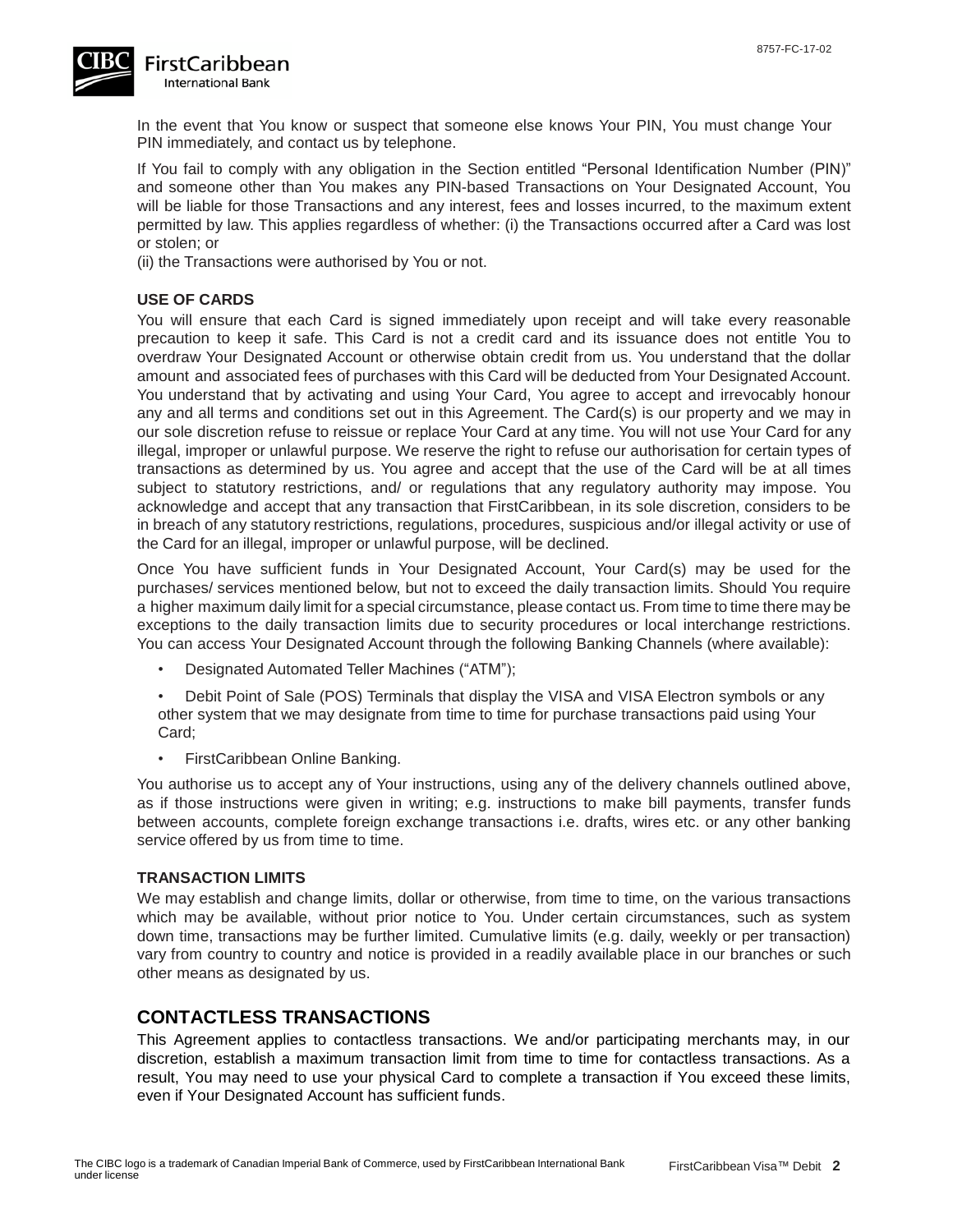

In the event that You know or suspect that someone else knows Your PIN, You must change Your PIN immediately, and contact us by telephone.

If You fail to comply with any obligation in the Section entitled "Personal Identification Number (PIN)" and someone other than You makes any PIN-based Transactions on Your Designated Account, You will be liable for those Transactions and any interest, fees and losses incurred, to the maximum extent permitted by law. This applies regardless of whether: (i) the Transactions occurred after a Card was lost or stolen; or

(ii) the Transactions were authorised by You or not.

#### **USE OF CARDS**

You will ensure that each Card is signed immediately upon receipt and will take every reasonable precaution to keep it safe. This Card is not a credit card and its issuance does not entitle You to overdraw Your Designated Account or otherwise obtain credit from us. You understand that the dollar amount and associated fees of purchases with this Card will be deducted from Your Designated Account. You understand that by activating and using Your Card, You agree to accept and irrevocably honour any and all terms and conditions set out in this Agreement. The Card(s) is our property and we may in our sole discretion refuse to reissue or replace Your Card at any time. You will not use Your Card for any illegal, improper or unlawful purpose. We reserve the right to refuse our authorisation for certain types of transactions as determined by us. You agree and accept that the use of the Card will be at all times subject to statutory restrictions, and/ or regulations that any regulatory authority may impose. You acknowledge and accept that any transaction that FirstCaribbean, in its sole discretion, considers to be in breach of any statutory restrictions, regulations, procedures, suspicious and/or illegal activity or use of the Card for an illegal, improper or unlawful purpose, will be declined.

Once You have sufficient funds in Your Designated Account, Your Card(s) may be used for the purchases/ services mentioned below, but not to exceed the daily transaction limits. Should You require a higher maximum daily limit for a special circumstance, please contact us. From time to time there may be exceptions to the daily transaction limits due to security procedures or local interchange restrictions. You can access Your Designated Account through the following Banking Channels (where available):

• Designated Automated Teller Machines ("ATM");

• Debit Point of Sale (POS) Terminals that display the VISA and VISA Electron symbols or any other system that we may designate from time to time for purchase transactions paid using Your Card;

• FirstCaribbean Online Banking.

You authorise us to accept any of Your instructions, using any of the delivery channels outlined above, as if those instructions were given in writing; e.g. instructions to make bill payments, transfer funds between accounts, complete foreign exchange transactions i.e. drafts, wires etc. or any other banking service offered by us from time to time.

#### **TRANSACTION LIMITS**

We may establish and change limits, dollar or otherwise, from time to time, on the various transactions which may be available, without prior notice to You. Under certain circumstances, such as system down time, transactions may be further limited. Cumulative limits (e.g. daily, weekly or per transaction) vary from country to country and notice is provided in a readily available place in our branches or such other means as designated by us.

### **CONTACTLESS TRANSACTIONS**

This Agreement applies to contactless transactions. We and/or participating merchants may, in our discretion, establish a maximum transaction limit from time to time for contactless transactions. As a result, You may need to use your physical Card to complete a transaction if You exceed these limits, even if Your Designated Account has sufficient funds.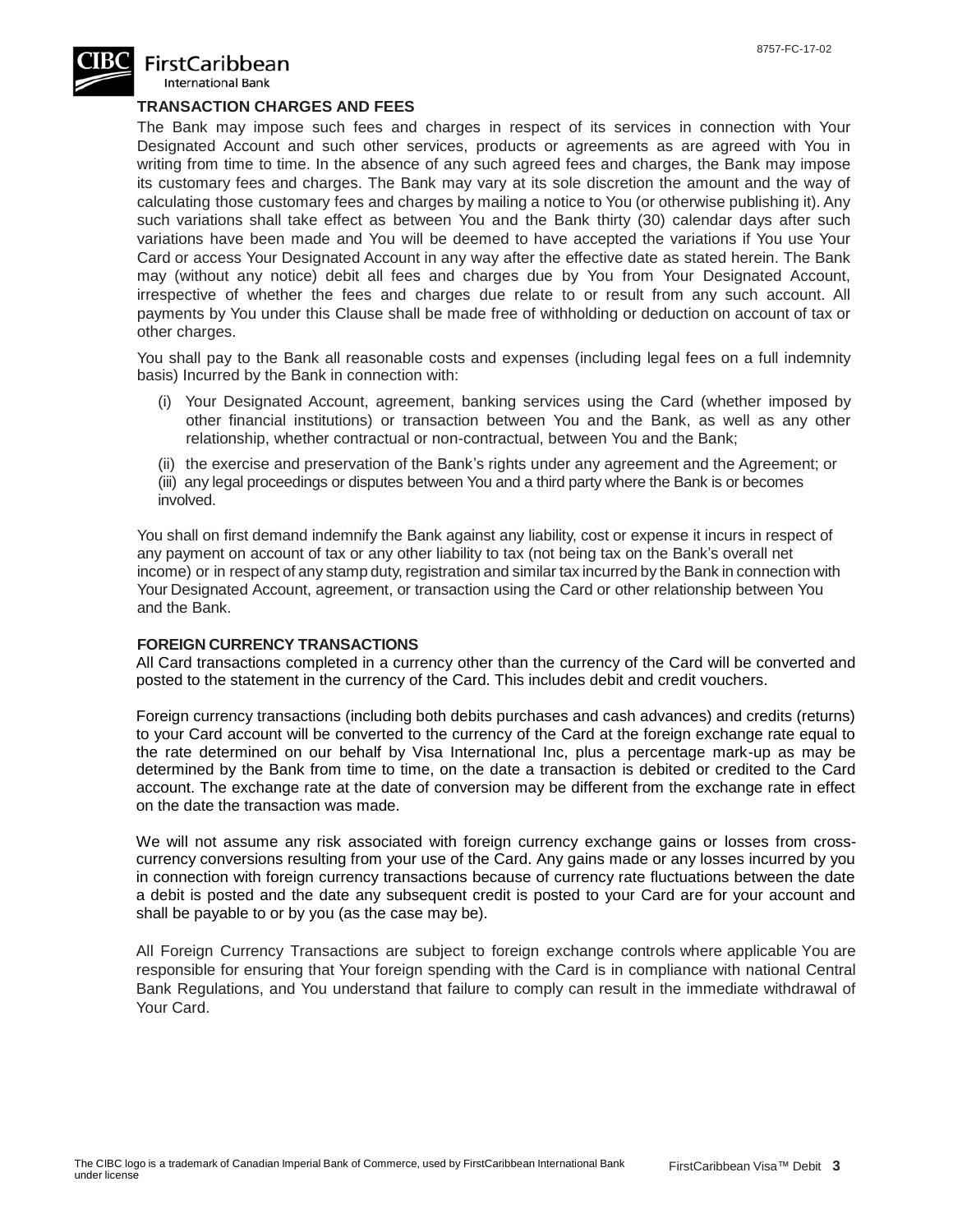

## **FirstCaribbean**

International Bank

#### **TRANSACTION CHARGES AND FEES**

The Bank may impose such fees and charges in respect of its services in connection with Your Designated Account and such other services, products or agreements as are agreed with You in writing from time to time. In the absence of any such agreed fees and charges, the Bank may impose its customary fees and charges. The Bank may vary at its sole discretion the amount and the way of calculating those customary fees and charges by mailing a notice to You (or otherwise publishing it). Any such variations shall take effect as between You and the Bank thirty (30) calendar days after such variations have been made and You will be deemed to have accepted the variations if You use Your Card or access Your Designated Account in any way after the effective date as stated herein. The Bank may (without any notice) debit all fees and charges due by You from Your Designated Account, irrespective of whether the fees and charges due relate to or result from any such account. All payments by You under this Clause shall be made free of withholding or deduction on account of tax or other charges.

You shall pay to the Bank all reasonable costs and expenses (including legal fees on a full indemnity basis) Incurred by the Bank in connection with:

- (i) Your Designated Account, agreement, banking services using the Card (whether imposed by other financial institutions) or transaction between You and the Bank, as well as any other relationship, whether contractual or non-contractual, between You and the Bank;
- (ii) the exercise and preservation of the Bank's rights under any agreement and the Agreement; or
- (iii) any legal proceedings or disputes between You and a third party where the Bank is or becomes involved.

You shall on first demand indemnify the Bank against any liability, cost or expense it incurs in respect of any payment on account of tax or any other liability to tax (not being tax on the Bank's overall net income) or in respect of any stamp duty, registration and similar tax incurred by the Bank in connection with Your Designated Account, agreement, or transaction using the Card or other relationship between You and the Bank.

#### **FOREIGN CURRENCY TRANSACTIONS**

All Card transactions completed in a currency other than the currency of the Card will be converted and posted to the statement in the currency of the Card. This includes debit and credit vouchers.

Foreign currency transactions (including both debits purchases and cash advances) and credits (returns) to your Card account will be converted to the currency of the Card at the foreign exchange rate equal to the rate determined on our behalf by Visa International Inc, plus a percentage mark-up as may be determined by the Bank from time to time, on the date a transaction is debited or credited to the Card account. The exchange rate at the date of conversion may be different from the exchange rate in effect on the date the transaction was made.

We will not assume any risk associated with foreign currency exchange gains or losses from crosscurrency conversions resulting from your use of the Card. Any gains made or any losses incurred by you in connection with foreign currency transactions because of currency rate fluctuations between the date a debit is posted and the date any subsequent credit is posted to your Card are for your account and shall be payable to or by you (as the case may be).

All Foreign Currency Transactions are subject to foreign exchange controls where applicable You are responsible for ensuring that Your foreign spending with the Card is in compliance with national Central Bank Regulations, and You understand that failure to comply can result in the immediate withdrawal of Your Card.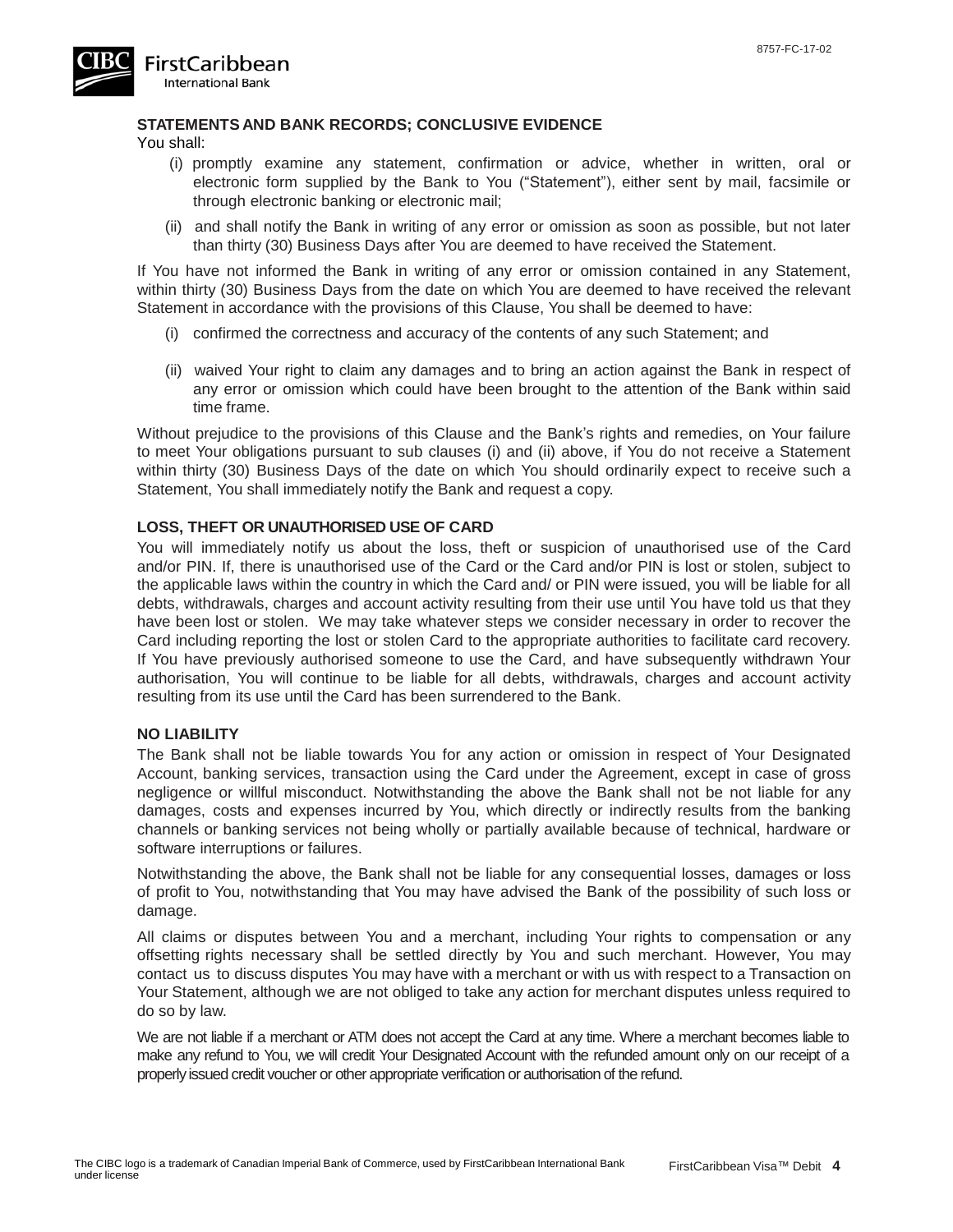

#### **STATEMENTS AND BANK RECORDS; CONCLUSIVE EVIDENCE**

You shall:

- (i) promptly examine any statement, confirmation or advice, whether in written, oral or electronic form supplied by the Bank to You ("Statement"), either sent by mail, facsimile or through electronic banking or electronic mail;
- (ii) and shall notify the Bank in writing of any error or omission as soon as possible, but not later than thirty (30) Business Days after You are deemed to have received the Statement.

If You have not informed the Bank in writing of any error or omission contained in any Statement, within thirty (30) Business Days from the date on which You are deemed to have received the relevant Statement in accordance with the provisions of this Clause, You shall be deemed to have:

- (i) confirmed the correctness and accuracy of the contents of any such Statement; and
- (ii) waived Your right to claim any damages and to bring an action against the Bank in respect of any error or omission which could have been brought to the attention of the Bank within said time frame.

Without prejudice to the provisions of this Clause and the Bank's rights and remedies, on Your failure to meet Your obligations pursuant to sub clauses (i) and (ii) above, if You do not receive a Statement within thirty (30) Business Days of the date on which You should ordinarily expect to receive such a Statement, You shall immediately notify the Bank and request a copy.

#### **LOSS, THEFT OR UNAUTHORISED USE OF CARD**

You will immediately notify us about the loss, theft or suspicion of unauthorised use of the Card and/or PIN. If, there is unauthorised use of the Card or the Card and/or PIN is lost or stolen, subject to the applicable laws within the country in which the Card and/ or PIN were issued, you will be liable for all debts, withdrawals, charges and account activity resulting from their use until You have told us that they have been lost or stolen. We may take whatever steps we consider necessary in order to recover the Card including reporting the lost or stolen Card to the appropriate authorities to facilitate card recovery. If You have previously authorised someone to use the Card, and have subsequently withdrawn Your authorisation, You will continue to be liable for all debts, withdrawals, charges and account activity resulting from its use until the Card has been surrendered to the Bank.

#### **NO LIABILITY**

The Bank shall not be liable towards You for any action or omission in respect of Your Designated Account, banking services, transaction using the Card under the Agreement, except in case of gross negligence or willful misconduct. Notwithstanding the above the Bank shall not be not liable for any damages, costs and expenses incurred by You, which directly or indirectly results from the banking channels or banking services not being wholly or partially available because of technical, hardware or software interruptions or failures.

Notwithstanding the above, the Bank shall not be liable for any consequential losses, damages or loss of profit to You, notwithstanding that You may have advised the Bank of the possibility of such loss or damage.

All claims or disputes between You and a merchant, including Your rights to compensation or any offsetting rights necessary shall be settled directly by You and such merchant. However, You may contact us to discuss disputes You may have with a merchant or with us with respect to a Transaction on Your Statement, although we are not obliged to take any action for merchant disputes unless required to do so by law.

We are not liable if a merchant or ATM does not accept the Card at any time. Where a merchant becomes liable to make any refund to You, we will credit Your Designated Account with the refunded amount only on our receipt of a properlyissued credit voucher or other appropriate verification or authorisation of the refund.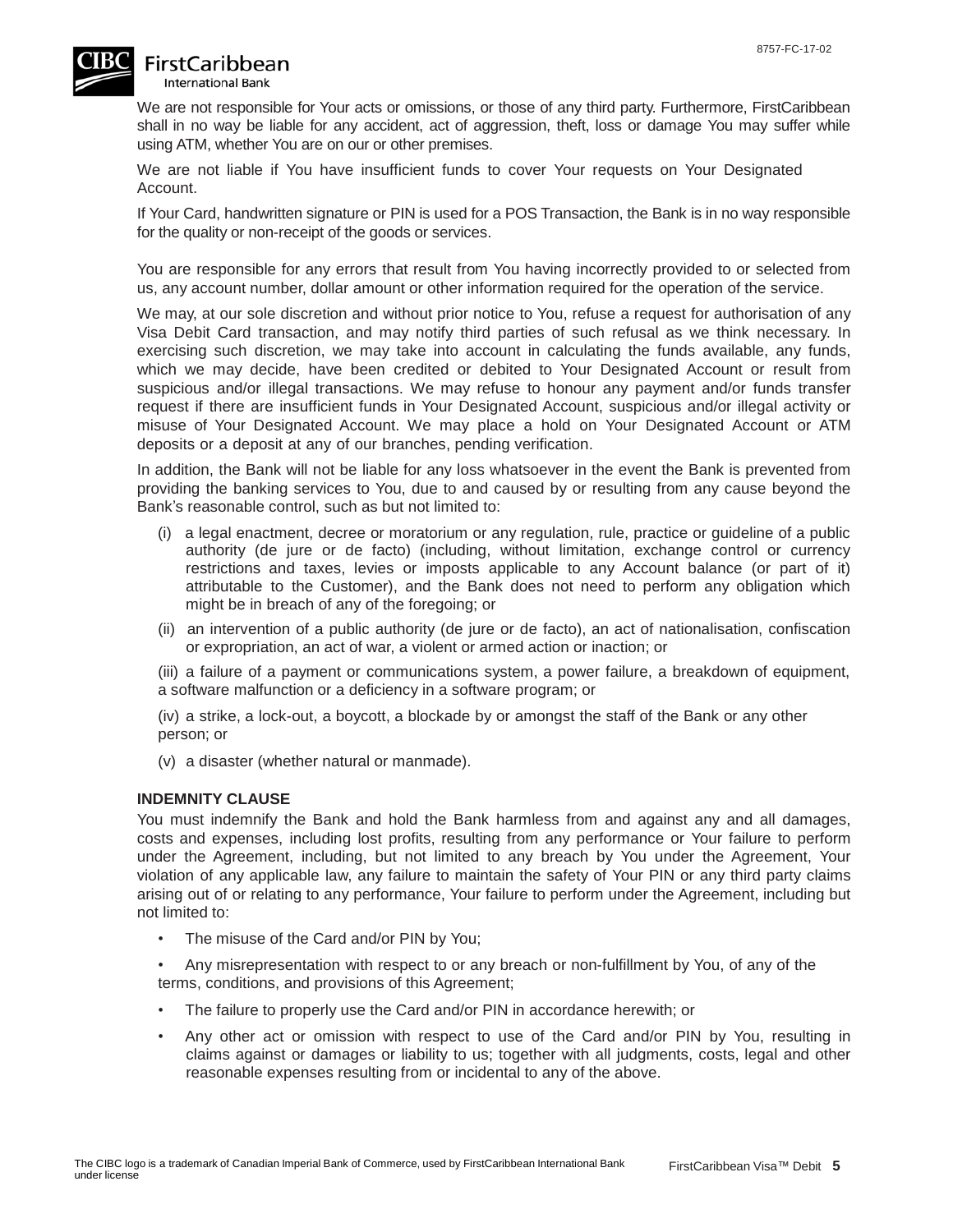

# **FirstCaribbean**

**International Bank** 

We are not responsible for Your acts or omissions, or those of any third party. Furthermore, FirstCaribbean shall in no way be liable for any accident, act of aggression, theft, loss or damage You may suffer while using ATM, whether You are on our or other premises.

We are not liable if You have insufficient funds to cover Your requests on Your Designated Account.

If Your Card, handwritten signature or PIN is used for a POS Transaction, the Bank is in no way responsible for the quality or non-receipt of the goods or services.

You are responsible for any errors that result from You having incorrectly provided to or selected from us, any account number, dollar amount or other information required for the operation of the service.

We may, at our sole discretion and without prior notice to You, refuse a request for authorisation of any Visa Debit Card transaction, and may notify third parties of such refusal as we think necessary. In exercising such discretion, we may take into account in calculating the funds available, any funds, which we may decide, have been credited or debited to Your Designated Account or result from suspicious and/or illegal transactions. We may refuse to honour any payment and/or funds transfer request if there are insufficient funds in Your Designated Account, suspicious and/or illegal activity or misuse of Your Designated Account. We may place a hold on Your Designated Account or ATM deposits or a deposit at any of our branches, pending verification.

In addition, the Bank will not be liable for any loss whatsoever in the event the Bank is prevented from providing the banking services to You, due to and caused by or resulting from any cause beyond the Bank's reasonable control, such as but not limited to:

- (i) a legal enactment, decree or moratorium or any regulation, rule, practice or guideline of a public authority (de jure or de facto) (including, without limitation, exchange control or currency restrictions and taxes, levies or imposts applicable to any Account balance (or part of it) attributable to the Customer), and the Bank does not need to perform any obligation which might be in breach of any of the foregoing; or
- (ii) an intervention of a public authority (de jure or de facto), an act of nationalisation, confiscation or expropriation, an act of war, a violent or armed action or inaction; or

(iii) a failure of a payment or communications system, a power failure, a breakdown of equipment, a software malfunction or a deficiency in a software program; or

(iv) a strike, a lock-out, a boycott, a blockade by or amongst the staff of the Bank or any other person; or

(v) a disaster (whether natural or manmade).

#### **INDEMNITY CLAUSE**

You must indemnify the Bank and hold the Bank harmless from and against any and all damages, costs and expenses, including lost profits, resulting from any performance or Your failure to perform under the Agreement, including, but not limited to any breach by You under the Agreement, Your violation of any applicable law, any failure to maintain the safety of Your PIN or any third party claims arising out of or relating to any performance, Your failure to perform under the Agreement, including but not limited to:

The misuse of the Card and/or PIN by You;

• Any misrepresentation with respect to or any breach or non-fulfillment by You, of any of the terms, conditions, and provisions of this Agreement;

- The failure to properly use the Card and/or PIN in accordance herewith; or
- Any other act or omission with respect to use of the Card and/or PIN by You, resulting in claims against or damages or liability to us; together with all judgments, costs, legal and other reasonable expenses resulting from or incidental to any of the above.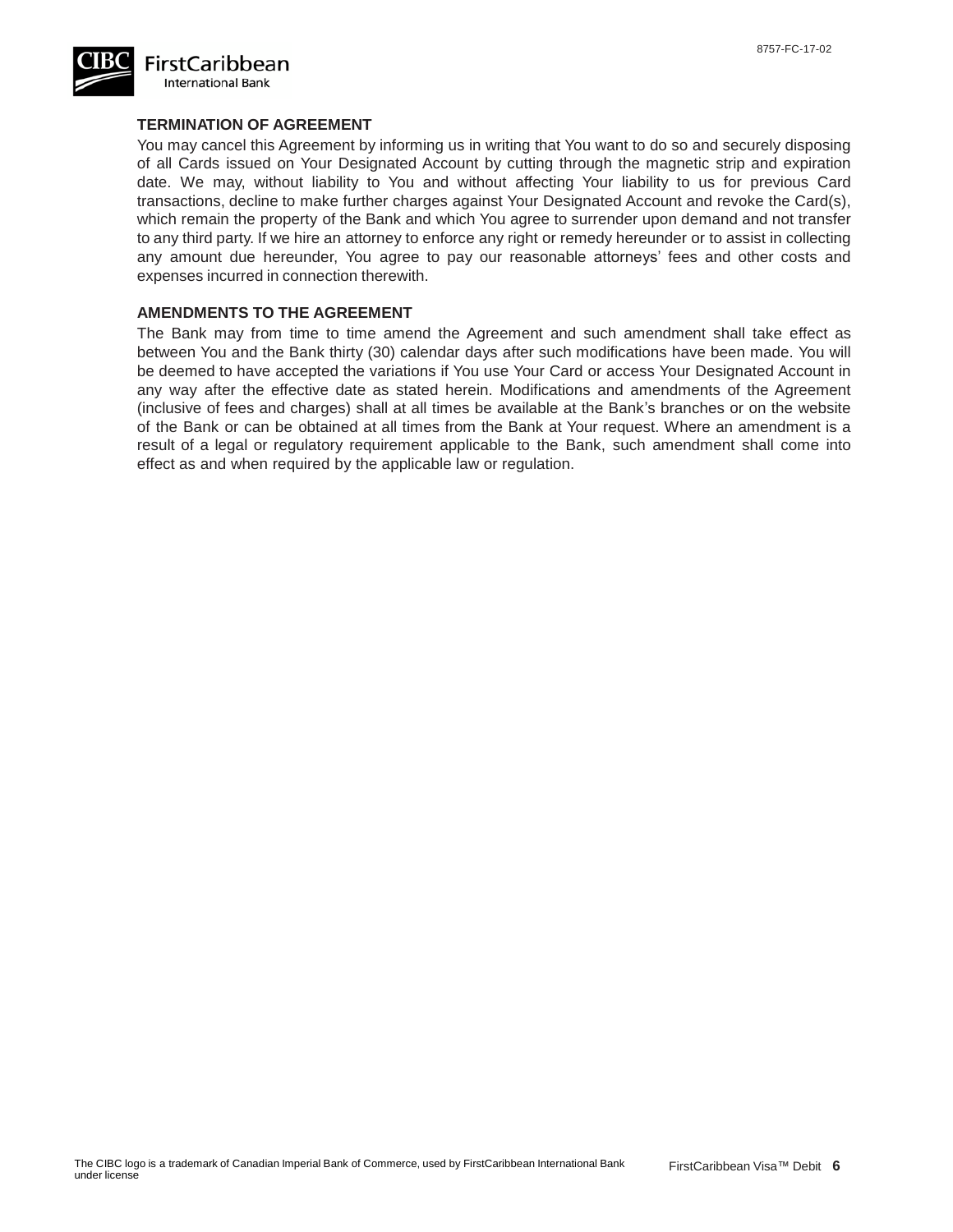

#### **TERMINATION OF AGREEMENT**

You may cancel this Agreement by informing us in writing that You want to do so and securely disposing of all Cards issued on Your Designated Account by cutting through the magnetic strip and expiration date. We may, without liability to You and without affecting Your liability to us for previous Card transactions, decline to make further charges against Your Designated Account and revoke the Card(s), which remain the property of the Bank and which You agree to surrender upon demand and not transfer to any third party. If we hire an attorney to enforce any right or remedy hereunder or to assist in collecting any amount due hereunder, You agree to pay our reasonable attorneys' fees and other costs and expenses incurred in connection therewith.

#### **AMENDMENTS TO THE AGREEMENT**

The Bank may from time to time amend the Agreement and such amendment shall take effect as between You and the Bank thirty (30) calendar days after such modifications have been made. You will be deemed to have accepted the variations if You use Your Card or access Your Designated Account in any way after the effective date as stated herein. Modifications and amendments of the Agreement (inclusive of fees and charges) shall at all times be available at the Bank's branches or on the website of the Bank or can be obtained at all times from the Bank at Your request. Where an amendment is a result of a legal or regulatory requirement applicable to the Bank, such amendment shall come into effect as and when required by the applicable law or regulation.